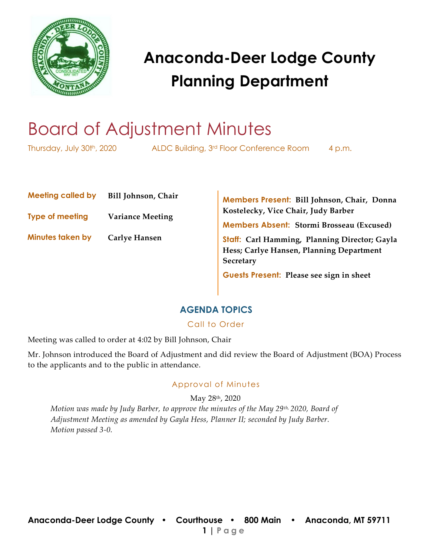

# Board of Adjustment Minutes

Thursday, July 30th, 2020 ALDC Building, 3rd Floor Conference Room 4 p.m.

**Meeting called by Bill Johnson, Chair**

**Type of meeting Variance Meeting** 

**Minutes taken by Carlye Hansen**

**Members Present: Bill Johnson, Chair, Donna Kostelecky, Vice Chair, Judy Barber**

**Members Absent: Stormi Brosseau (Excused)**

**Staff: Carl Hamming, Planning Director; Gayla Hess; Carlye Hansen, Planning Department Secretary** 

**Guests Present: Please see sign in sheet**

### **AGENDA TOPICS**

### Call to Order

Meeting was called to order at 4:02 by Bill Johnson, Chair

Mr. Johnson introduced the Board of Adjustment and did review the Board of Adjustment (BOA) Process to the applicants and to the public in attendance.

### Approval of Minutes

May 28th, 2020

*Motion was made by Judy Barber, to approve the minutes of the May 29th, 2020, Board of Adjustment Meeting as amended by Gayla Hess, Planner II; seconded by Judy Barber. Motion passed 3-0.*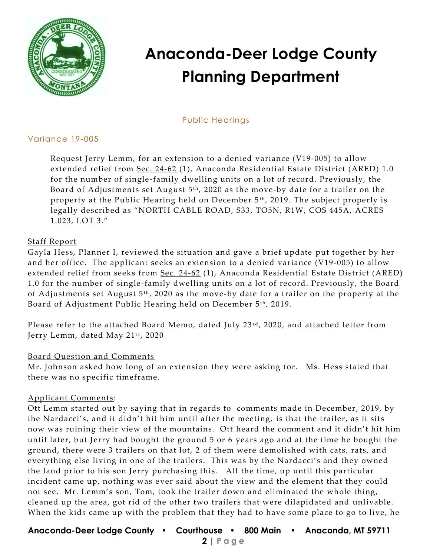

### Public Hearings

### Variance 19-005

Request Jerry Lemm, for an extension to a denied variance (V19-005) to allow extended relief from [Sec. 24-62](https://library.municode.com/mt/anaconda-deer_lodge_county/codes/code_of_ordinances?nodeId=PTIICOOR_CH24DEPESY_ARTIVANREESDIAR_S24-62PEUS) (1), Anaconda Residential Estate District (ARED) 1.0 for the number of single -family dwelling units on a lot of record. Previously, the Board of Adjustments set August  $5<sup>th</sup>$ , 2020 as the move-by date for a trailer on the property at the Public Hearing held on December 5<sup>th</sup>, 2019. The subject properly is legally described as "NORTH CABLE ROAD, S33, TO5N, R1W, COS 445A, ACRES 1.023, LOT 3."

### Staff Report

Gayla Hess, Planner I, reviewed the situation and gave a brief update put together by her and her office. The applicant seeks an extension to a denied variance (V19-005) to allow extended relief from seeks from [Sec. 24-62](https://library.municode.com/mt/anaconda-deer_lodge_county/codes/code_of_ordinances?nodeId=PTIICOOR_CH24DEPESY_ARTIVANREESDIAR_S24-62PEUS) (1), Anaconda Residential Estate District (ARED) 1.0 for the number of single -family dwelling units on a lot of record. Previously, the Board of Adjustments set August  $5<sup>th</sup>$ , 2020 as the move-by date for a trailer on the property at the Board of Adjustment Public Hearing held on December 5<sup>th</sup>, 2019.

Please refer to the attached Board Memo, dated July 23<sup>rd</sup>, 2020, and attached letter from Jerry Lemm, dated May 21st, 2020

### Board Question and Comments

Mr. Johnson asked how long of an extension they were asking for. Ms. Hess stated that there was no specific timeframe.

### Applicant Comments :

Ott Lemm started out by saying that in regards to comments made in December, 2019, by the Nardacci's, and it didn't hit him until after the meeting, is that the trailer, as it sits now was ruining their view of the mountains. Ott heard the comment and it didn't hit him until later, but Jerry had bought the ground 5 or 6 years ago and at the time he bought the ground, there were 3 trailers on that lot, 2 of them were demolished with cats, rats, and everything else living in one of the trailers. This was by the Nardacci's and they owned the land prior to his son Jerry purchasing this. All the time, up until this particular incident came up, nothing was ever said about the view and the element that they could not see. Mr. Lemm's son, Tom, took the trailer down and eliminated the whole thing, cleaned up the area, got rid of the other two trailers that were dilapidated and unlivable. When the kids came up with the problem that they had to have some place to go to live, he

**Anaconda-Deer Lodge County • Courthouse • 800 Main • Anaconda, MT 59711**

 **2 | Page**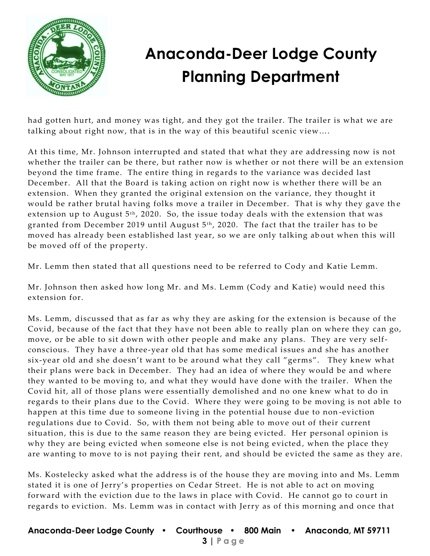

had gotten hurt, and money was tight, and they got the trailer. The trailer is what we are talking about right now, that is in the way of this beautiful scenic view….

At this time, Mr. Johnson interrupted and stated that what they are addressing now is not whether the trailer can be there, but rather now is whether or not there will be an extension beyond the time frame. The entire thing in regards to the variance was decided last December. All that the Board is taking action on right now is whether there will be an extension. When they granted the original extension on the variance, they thought it would be rather brutal having folks move a trailer in December. That is why they gave th e extension up to August  $5<sup>th</sup>$ , 2020. So, the issue today deals with the extension that was granted from December 2019 until August  $5<sup>th</sup>$ , 2020. The fact that the trailer has to be moved has already been established last year, so we are only talking ab out when this will be moved off of the property.

Mr. Lemm then stated that all questions need to be referred to Cody and Katie Lemm.

Mr. Johnson then asked how long Mr. and Ms. Lemm (Cody and Katie) would need this extension for.

Ms. Lemm, discussed that as far as why they are asking for the extension is because of the Covid, because of the fact that they have not been able to really plan on where they can go, move, or be able to sit down with other people and make any plans. They are very selfconscious. They have a three-year old that has some medical issues and she has another six-year old and she doesn't want to be around what they call "germs". They knew what their plans were back in December. They had an idea of where they would be and where they wanted to be moving to, and what they would have done with the trailer. When the Covid hit, all of those plans were essentially demolished and no one knew what to do in regards to their plans due to the Covid. Where they were going to be moving is not able to happen at this time due to someone living in the potential house due to non -eviction regulations due to Covid. So, with them not being able to move out of their current situation, this is due to the same reason they are being evicted. Her personal opinion is why they are being evicted when someone else is not being evicted, when the place they are wanting to move to is not paying their rent, and should be evicted the same as they are.

Ms. Kostelecky asked what the address is of the house they are moving into and Ms. Lemm stated it is one of Jerry's properties on Cedar Street. He is not able to act on moving forward with the eviction due to the laws in place with Covid. He cannot go to court in regards to eviction. Ms. Lemm was in contact with Jerry as of this morning and once that

### **Anaconda-Deer Lodge County • Courthouse • 800 Main • Anaconda, MT 59711 3 | Page**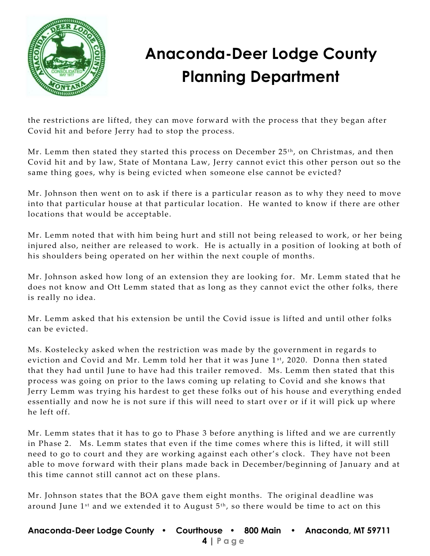

the restrictions are lifted, they can move forward with the process that they began after Covid hit and before Jerry had to stop the process.

Mr. Lemm then stated they started this process on December  $25<sup>th</sup>$ , on Christmas, and then Covid hit and by law, State of Montana Law, Jerry cannot evict this other person out so the same thing goes, why is being evicted when someone else cannot be evicted?

Mr. Johnson then went on to ask if there is a particular reason as to why they need to move into that particular house at that particular location. He wanted to know if there are other locations that would be acceptable.

Mr. Lemm noted that with him being hurt and still not being released to work, or her being injured also, neither are released to work. He is actually in a position of looking at both of his shoulders being operated on her within the next couple of months.

Mr. Johnson asked how long of an extension they are looking for. Mr. Lemm stated that he does not know and Ott Lemm stated that as long as they cannot evict the other folks, there is really no idea.

Mr. Lemm asked that his extension be until the Covid issue is lifted and until other folks can be evicted.

Ms. Kostelecky asked when the restriction was made by the government in regards to eviction and Covid and Mr. Lemm told her that it was June 1st, 2020. Donna then stated that they had until June to have had this trailer removed. Ms. Lemm then stated that this process was going on prior to the laws coming up relating to Covid and she knows that Jerry Lemm was trying his hardest to get these folks out of his house and everything ended essentially and now he is not sure if this will need to start over or if it will pick up where he left off.

Mr. Lemm states that it has to go to Phase 3 before anything is lifted and we are currently in Phase 2. Ms. Lemm states that even if the time comes where this is lifted, it will still need to go to court and they are working against each other's clock. They have not been able to move forward with their plans made back in December/beginning of January and at this time cannot still cannot act on these plans.

Mr. Johnson states that the BOA gave them eight months. The original deadline was around June  $1^{st}$  and we extended it to August  $5^{th}$ , so there would be time to act on this

**Anaconda-Deer Lodge County • Courthouse • 800 Main • Anaconda, MT 59711 4 | Page**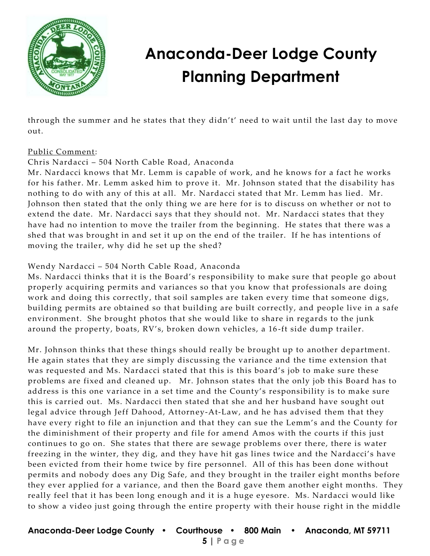

through the summer and he states that they didn't' need to wait until the last day to move out.

### Public Comment:

### Chris Nardacci – 504 North Cable Road, Anaconda

Mr. Nardacci knows that Mr. Lemm is capable of work, and he knows for a fact he works for his father. Mr. Lemm asked him to prove it. Mr. Johnson stated that the disability has nothing to do with any of this at all. Mr. Nardacci stated that Mr. Lemm has lied. Mr. Johnson then stated that the only thing we are here for is to discuss on whether or not to extend the date. Mr. Nardacci says that they should not. Mr. Nardacci states that they have had no intention to move the trailer from the beginning. He states that there was a shed that was brought in and set it up on the end of the trailer. If he has intentions of moving the trailer, why did he set up the shed?

### Wendy Nardacci – 504 North Cable Road, Anaconda

Ms. Nardacci thinks that it is the Board's responsibility to make sure that people go about properly acquiring permits and variances so that you know that professionals are doing work and doing this correctly, that soil samples are taken every time that someone digs, building permits are obtained so that building are built correctly, and people live in a safe environment. She brought photos that she would like to share in regards to the junk around the property, boats, RV's, broken down vehicles, a 16 -ft side dump trailer.

Mr. Johnson thinks that these things should really be brought up to another department. He again states that they are simply discussing the variance and the time extension that was requested and Ms. Nardacci stated that this is this board's job to make sure these problems are fixed and cleaned up. Mr. Johnson states that the only job this Board has to address is this one variance in a set time and the County's responsibility is to make sure this is carried out. Ms. Nardacci then stated that she and her husband have sought out legal advice through Jeff Dahood, Attorney-At-Law, and he has advised them that they have every right to file an injunction and that they can sue the Lemm's and the County for the diminishment of their property and file for amend Amos with the courts if this just continues to go on. She states that there are sewage problems over there, there is water freezing in the winter, they dig, and they have hit gas lines twice and the Nardacci's have been evicted from their home twice by fire personnel. All of this has been done without permits and nobody does any Dig Safe, and they br ought in the trailer eight months before they ever applied for a variance, and then the Board gave them another eight months. They really feel that it has been long enough and it is a huge eyesore. Ms. Nardacci would like to show a video just going through the entire property with their house right in the middle

### **Anaconda-Deer Lodge County • Courthouse • 800 Main • Anaconda, MT 59711**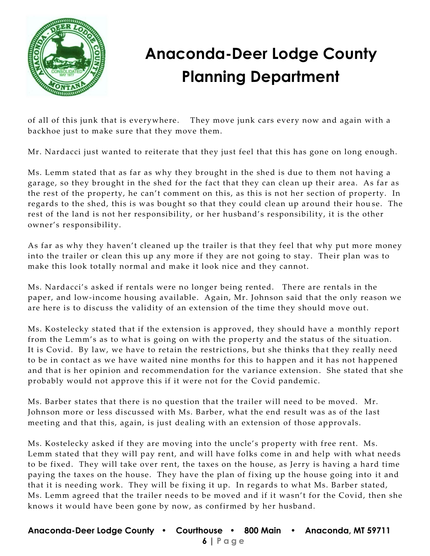

of all of this junk that is everywhere. They move junk cars every now and again with a backhoe just to make sure that they move them.

Mr. Nardacci just wanted to reiterate that they just feel that this has gone on long enough.

Ms. Lemm stated that as far as why they brought in the shed is due to them not having a garage, so they brought in the shed for the fact that they can clean up their area. As far as the rest of the property, he can't comment on this, as this is not her section of property. In regards to the shed, this is was bought so that they could clean up around their hou se. The rest of the land is not her responsibility, or her husband's responsibility, it is the other owner's responsibility.

As far as why they haven't cleaned up the trailer is that they feel that why put more money into the trailer or clean this up any more if they are not going to stay. Their plan was to make this look totally normal and make it look nice and they cannot.

Ms. Nardacci's asked if rentals were no longer being rented. There are rentals in the paper, and low-income housing available. Again, Mr. Johnson said that the only reason we are here is to discuss the validity of an extension of the time they should move out.

Ms. Kostelecky stated that if the extension is approved, they should have a monthly report from the Lemm's as to what is going on with the property and the status of the situation. It is Covid. By law, we have to retain the restrictions, but she thinks that they really need to be in contact as we have waited nine months for this to happen and it has not happened and that is her opinion and recommendation for the variance extension. She stated that she probably would not approve this if it were not for the Covid pandemic.

Ms. Barber states that there is no question that the trailer will need to be moved. Mr. Johnson more or less discussed with Ms. Barber, what the end result was as of the last meeting and that this, again, is just dealing with an extension of those approvals.

Ms. Kostelecky asked if they are moving into the uncle's property with free rent. Ms. Lemm stated that they will pay rent, and will have folks come in and help with what needs to be fixed. They will take over rent, the taxes on the house, as Jerry is having a hard time paying the taxes on the house. They have the plan of fixing up the house going into it and that it is needing work. They will be fixing it up. In regards to what Ms. Barber stated, Ms. Lemm agreed that the trailer needs to be moved and if it wasn't for the Covid, then she knows it would have been gone by now, as confirmed by her husband.

### **Anaconda-Deer Lodge County • Courthouse • 800 Main • Anaconda, MT 59711 6 | Page**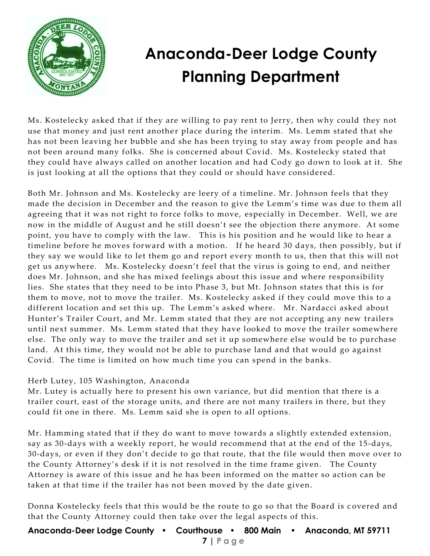

Ms. Kostelecky asked that if they are willing to pay rent to Jerry, then why could they not use that money and just rent another place during the interim. Ms. Lemm stated that she has not been leaving her bubble and she has been trying to stay away from people and has not been around many folks. She is concerned about Covid. Ms. Kostelecky stated that they could have always called on another location and had Cody go down to look at it. She is just looking at all the options that they could or should have considered.

Both Mr. Johnson and Ms. Kostelecky are leery of a timeline. Mr. Johnson feels that they made the decision in December and the reason to give the Lemm's time was due to them all agreeing that it was not right to force folks to move, especially in December. Well, we are now in the middle of August and he still doesn't see the objection there anymore. At some point, you have to comply with the law. This is his position and he would like to hear a timeline before he moves forward with a motion. If he heard 30 days, then possibly, but if they say we would like to let them go and report every month to us, then that this will not get us anywhere. Ms. Kostelecky doesn't feel that the virus is going to end, and neither does Mr. Johnson, and she has mixed feelings about this issue and where responsibility lies. She states that they need to be into Phase 3, but Mt. Johnson states that this is for them to move, not to move the trailer. Ms. Kostelecky asked if they could move this to a different location and set this up. The Lemm's asked where. Mr. Nardacci asked about Hunter's Trailer Court, and Mr. Lemm stated that they are not accepting any new trailers until next summer. Ms. Lemm stated that they have looked to move the trailer somewhere else. The only way to move the trailer and set it up somewhere else would be to purchase land. At this time, they would not be able to purchase land and that would go against Covid. The time is limited on how much time you can spend in the banks.

### Herb Lutey, 105 Washington, Anaconda

Mr. Lutey is actually here to present his own variance, but did mention that there is a trailer court, east of the storage units, and there are not many trailers in there, but they could fit one in there. Ms. Lemm said she is open to all options.

Mr. Hamming stated that if they do want to move towards a slightly extended extension, say as 30-days with a weekly report, he would recommend that at the end of the 15-days, 30-days, or even if they don't decide to go that route, that the file would then move over to the County Attorney's desk if it is not resolved in the time frame given. The County Attorney is aware of this issue and he has been informed on the matter so action can be taken at that time if the trailer has not been moved by the date given.

Donna Kostelecky feels that this would be the route to go so that the Board is c overed and that the County Attorney could then take over the legal aspects of this.

**Anaconda-Deer Lodge County • Courthouse • 800 Main • Anaconda, MT 59711 7 | Page**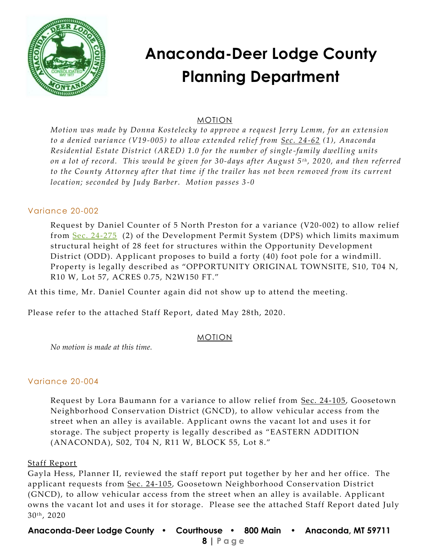

### MOTION

*Motion was made by Donna Kostelecky to approve a request Jerry Lemm, for an extension to a denied variance (V19-005) to allow extended relief from [Sec. 24-62](https://library.municode.com/mt/anaconda-deer_lodge_county/codes/code_of_ordinances?nodeId=PTIICOOR_CH24DEPESY_ARTIVANREESDIAR_S24-62PEUS) (1), Anaconda Residential Estate District (ARED) 1.0 for the number of single-family dwelling units on a lot of record. This would be given for* 30-days after August 5<sup>*th*</sup>, 2020, and then referred *to the County Attorney after that time if the trailer has not been removed from its current location; seconded by Judy Barber. Motion passes 3 -0*

#### Variance 20-002

Request by Daniel Counter of 5 North Preston for a variance (V20-002) to allow relief from [Sec. 24-275](https://library.municode.com/mt/anaconda-deer_lodge_county/codes/code_of_ordinances?nodeId=PTIICOOR_CH24DEPESY_ARTXXIVOPDEDIOD_S24-275DEST) (2) of the Development Permit System (DPS) which limits maximum structural height of 28 feet for structures within the Opportunity Development District (ODD). Applicant proposes to build a forty (40) foot pole for a windmill. Property is legally described as "OPPORTUNITY ORIGINAL TOWNSITE, S10, T04 N, R10 W, Lot 57, ACRES 0.75, N2W150 FT."

At this time, Mr. Daniel Counter again did not show up to attend the meeting.

Please refer to the attached Staff Report, dated May 28th, 2020 .

#### MOTION

*No motion is made at this time.*

### Variance 20-004

Request by Lora Baumann for a variance to allow relief from <u>Sec. 24-105</u>, Goosetown Neighborhood Conservation District (GNCD), to allow vehicular access from the street when an alley is available. Applicant owns the vacant lot and uses it for storage. The subject property is legally described as "EASTERN ADDITION (ANACONDA), S02, T04 N, R11 W, BLOCK 55, Lot 8."

#### Staff Report

Gayla Hess, Planner II, reviewed the staff report put together by her and her office. The applicant requests from [Sec. 24-105,](https://library.municode.com/mt/anaconda-deer_lodge_county/codes/code_of_ordinances?nodeId=PTIICOOR_CH24DEPESY_ARTVIIIGONECODIGN_S24-105VEAC) Goosetown Neighborhood Conservation District (GNCD), to allow vehicular access from the street when an alley is available. Applicant owns the vacant lot and uses it for storage. Please see the attached Staff Report dated July 30<sup>th</sup>, 2020

**Anaconda-Deer Lodge County • Courthouse • 800 Main • Anaconda, MT 59711**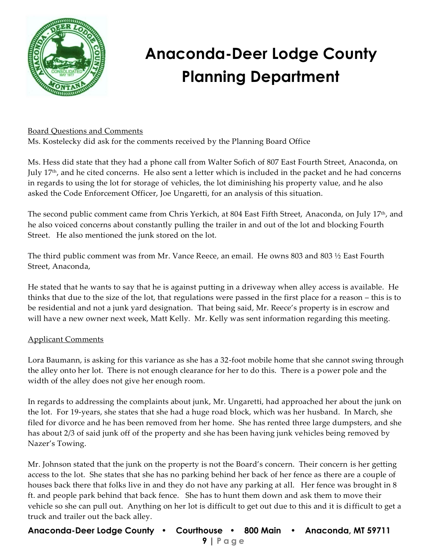

### Board Questions and Comments

Ms. Kostelecky did ask for the comments received by the Planning Board Office

Ms. Hess did state that they had a phone call from Walter Sofich of 807 East Fourth Street, Anaconda, on July 17<sup>th</sup>, and he cited concerns. He also sent a letter which is included in the packet and he had concerns in regards to using the lot for storage of vehicles, the lot diminishing his property value, and he also asked the Code Enforcement Officer, Joe Ungaretti, for an analysis of this situation.

The second public comment came from Chris Yerkich, at 804 East Fifth Street, Anaconda, on July 17th, and he also voiced concerns about constantly pulling the trailer in and out of the lot and blocking Fourth Street. He also mentioned the junk stored on the lot.

The third public comment was from Mr. Vance Reece, an email. He owns 803 and 803 ½ East Fourth Street, Anaconda,

He stated that he wants to say that he is against putting in a driveway when alley access is available. He thinks that due to the size of the lot, that regulations were passed in the first place for a reason – this is to be residential and not a junk yard designation. That being said, Mr. Reece's property is in escrow and will have a new owner next week, Matt Kelly. Mr. Kelly was sent information regarding this meeting.

### Applicant Comments

Lora Baumann, is asking for this variance as she has a 32-foot mobile home that she cannot swing through the alley onto her lot. There is not enough clearance for her to do this. There is a power pole and the width of the alley does not give her enough room.

In regards to addressing the complaints about junk, Mr. Ungaretti, had approached her about the junk on the lot. For 19-years, she states that she had a huge road block, which was her husband. In March, she filed for divorce and he has been removed from her home. She has rented three large dumpsters, and she has about 2/3 of said junk off of the property and she has been having junk vehicles being removed by Nazer's Towing.

Mr. Johnson stated that the junk on the property is not the Board's concern. Their concern is her getting access to the lot. She states that she has no parking behind her back of her fence as there are a couple of houses back there that folks live in and they do not have any parking at all. Her fence was brought in 8 ft. and people park behind that back fence. She has to hunt them down and ask them to move their vehicle so she can pull out. Anything on her lot is difficult to get out due to this and it is difficult to get a truck and trailer out the back alley.

**Anaconda-Deer Lodge County • Courthouse • 800 Main • Anaconda, MT 59711**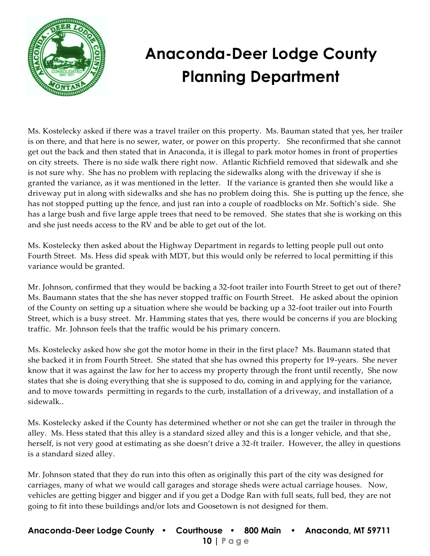

Ms. Kostelecky asked if there was a travel trailer on this property. Ms. Bauman stated that yes, her trailer is on there, and that here is no sewer, water, or power on this property. She reconfirmed that she cannot get out the back and then stated that in Anaconda, it is illegal to park motor homes in front of properties on city streets. There is no side walk there right now. Atlantic Richfield removed that sidewalk and she is not sure why. She has no problem with replacing the sidewalks along with the driveway if she is granted the variance, as it was mentioned in the letter. If the variance is granted then she would like a driveway put in along with sidewalks and she has no problem doing this. She is putting up the fence, she has not stopped putting up the fence, and just ran into a couple of roadblocks on Mr. Softich's side. She has a large bush and five large apple trees that need to be removed. She states that she is working on this and she just needs access to the RV and be able to get out of the lot.

Ms. Kostelecky then asked about the Highway Department in regards to letting people pull out onto Fourth Street. Ms. Hess did speak with MDT, but this would only be referred to local permitting if this variance would be granted.

Mr. Johnson, confirmed that they would be backing a 32-foot trailer into Fourth Street to get out of there? Ms. Baumann states that the she has never stopped traffic on Fourth Street. He asked about the opinion of the County on setting up a situation where she would be backing up a 32-foot trailer out into Fourth Street, which is a busy street. Mr. Hamming states that yes, there would be concerns if you are blocking traffic. Mr. Johnson feels that the traffic would be his primary concern.

Ms. Kostelecky asked how she got the motor home in their in the first place? Ms. Baumann stated that she backed it in from Fourth Street. She stated that she has owned this property for 19-years. She never know that it was against the law for her to access my property through the front until recently, She now states that she is doing everything that she is supposed to do, coming in and applying for the variance, and to move towards permitting in regards to the curb, installation of a driveway, and installation of a sidewalk..

Ms. Kostelecky asked if the County has determined whether or not she can get the trailer in through the alley. Ms. Hess stated that this alley is a standard sized alley and this is a longer vehicle, and that she , herself, is not very good at estimating as she doesn't drive a 32-ft trailer. However, the alley in questions is a standard sized alley.

Mr. Johnson stated that they do run into this often as originally this part of the city was designed for carriages, many of what we would call garages and storage sheds were actual carriage houses. Now, vehicles are getting bigger and bigger and if you get a Dodge Ran with full seats, full bed, they are not going to fit into these buildings and/or lots and Goosetown is not designed for them.

**Anaconda-Deer Lodge County • Courthouse • 800 Main • Anaconda, MT 59711 10 | Page**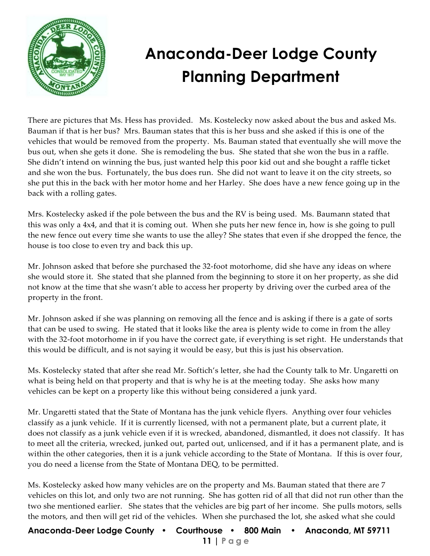

There are pictures that Ms. Hess has provided. Ms. Kostelecky now asked about the bus and asked Ms. Bauman if that is her bus? Mrs. Bauman states that this is her buss and she asked if this is one of the vehicles that would be removed from the property. Ms. Bauman stated that eventually she will move the bus out, when she gets it done. She is remodeling the bus. She stated that she won the bus in a raffle. She didn't intend on winning the bus, just wanted help this poor kid out and she bought a raffle ticket and she won the bus. Fortunately, the bus does run. She did not want to leave it on the city streets, so she put this in the back with her motor home and her Harley. She does have a new fence going up in the back with a rolling gates.

Mrs. Kostelecky asked if the pole between the bus and the RV is being used. Ms. Baumann stated that this was only a 4x4, and that it is coming out. When she puts her new fence in, how is she going to pull the new fence out every time she wants to use the alley? She states that even if she dropped the fence, the house is too close to even try and back this up.

Mr. Johnson asked that before she purchased the 32-foot motorhome, did she have any ideas on where she would store it. She stated that she planned from the beginning to store it on her property, as she did not know at the time that she wasn't able to access her property by driving over the curbed area of the property in the front.

Mr. Johnson asked if she was planning on removing all the fence and is asking if there is a gate of sorts that can be used to swing. He stated that it looks like the area is plenty wide to come in from the alley with the 32-foot motorhome in if you have the correct gate, if everything is set right. He understands that this would be difficult, and is not saying it would be easy, but this is just his observation.

Ms. Kostelecky stated that after she read Mr. Softich's letter, she had the County talk to Mr. Ungaretti on what is being held on that property and that is why he is at the meeting today. She asks how many vehicles can be kept on a property like this without being considered a junk yard.

Mr. Ungaretti stated that the State of Montana has the junk vehicle flyers. Anything over four vehicles classify as a junk vehicle. If it is currently licensed, with not a permanent plate, but a current plate, it does not classify as a junk vehicle even if it is wrecked, abandoned, dismantled, it does not classify. It has to meet all the criteria, wrecked, junked out, parted out, unlicensed, and if it has a permanent plate, and is within the other categories, then it is a junk vehicle according to the State of Montana. If this is over four, you do need a license from the State of Montana DEQ, to be permitted.

Ms. Kostelecky asked how many vehicles are on the property and Ms. Bauman stated that there are 7 vehicles on this lot, and only two are not running. She has gotten rid of all that did not run other than the two she mentioned earlier. She states that the vehicles are big part of her income. She pulls motors, sells the motors, and then will get rid of the vehicles. When she purchased the lot, she asked what she could

**Anaconda-Deer Lodge County • Courthouse • 800 Main • Anaconda, MT 59711 11 | Page**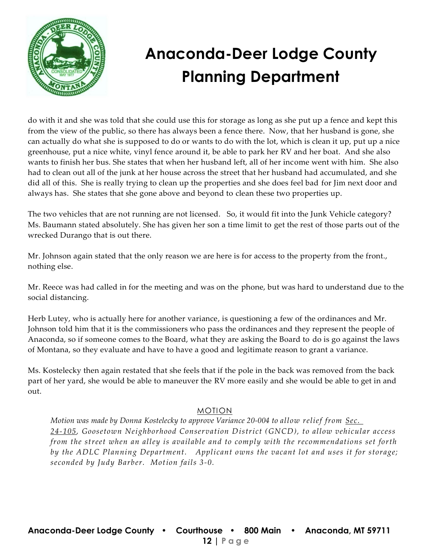

do with it and she was told that she could use this for storage as long as she put up a fence and kept this from the view of the public, so there has always been a fence there. Now, that her husband is gone, she can actually do what she is supposed to do or wants to do with the lot, which is clean it up, put up a nice greenhouse, put a nice white, vinyl fence around it, be able to park her RV and her boat. And she also wants to finish her bus. She states that when her husband left, all of her income went with him. She also had to clean out all of the junk at her house across the street that her husband had accumulated, and she did all of this. She is really trying to clean up the properties and she does feel bad for Jim next door and always has. She states that she gone above and beyond to clean these two properties up.

The two vehicles that are not running are not licensed. So, it would fit into the Junk Vehicle category? Ms. Baumann stated absolutely. She has given her son a time limit to get the rest of those parts out of the wrecked Durango that is out there.

Mr. Johnson again stated that the only reason we are here is for access to the property from the front., nothing else.

Mr. Reece was had called in for the meeting and was on the phone, but was hard to understand due to the social distancing.

Herb Lutey, who is actually here for another variance, is questioning a few of the ordinances and Mr. Johnson told him that it is the commissioners who pass the ordinances and they represent the people of Anaconda, so if someone comes to the Board, what they are asking the Board to do is go against the laws of Montana, so they evaluate and have to have a good and legitimate reason to grant a variance.

Ms. Kostelecky then again restated that she feels that if the pole in the back was removed from the back part of her yard, she would be able to maneuver the RV more easily and she would be able to get in and out.

### MOTION

 *Motion was made by Donna Kostelecky to approve Variance 20-004 to allow relief from [Sec.](https://library.municode.com/mt/anaconda-deer_lodge_county/codes/code_of_ordinances?nodeId=PTIICOOR_CH24DEPESY_ARTVIIIGONECODIGN_S24-105VEAC)  [24-105,](https://library.municode.com/mt/anaconda-deer_lodge_county/codes/code_of_ordinances?nodeId=PTIICOOR_CH24DEPESY_ARTVIIIGONECODIGN_S24-105VEAC) Goosetown Neighborhood Conservation District (GNCD), to allow vehicular access from the street when an alley is available and to comply with the recommendations set forth by the ADLC Planning Department. Applicant owns the vacant lot and uses it for storage; seconded by Judy Barber. Motion fails 3-0.*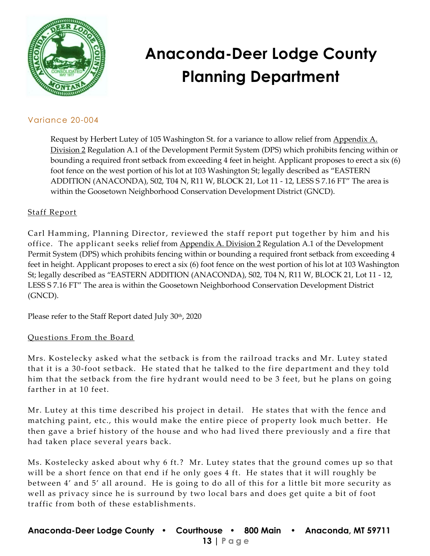

### Variance 20-004

Request by Herbert Lutey of 105 Washington St. for a variance to allow relief from [Appendix A.](https://library.municode.com/mt/anaconda-deer_lodge_county/codes/code_of_ordinances?nodeId=PTIICOOR_CH24DEPESY_APXASURE_DIV2FEREWA)  [Division 2](https://library.municode.com/mt/anaconda-deer_lodge_county/codes/code_of_ordinances?nodeId=PTIICOOR_CH24DEPESY_APXASURE_DIV2FEREWA) Regulation A.1 of the Development Permit System (DPS) which prohibits fencing within or bounding a required front setback from exceeding 4 feet in height. Applicant proposes to erect a six (6) foot fence on the west portion of his lot at 103 Washington St; legally described as "EASTERN ADDITION (ANACONDA), S02, T04 N, R11 W, BLOCK 21, Lot 11 - 12, LESS S 7.16 FT" The area is within the Goosetown Neighborhood Conservation Development District (GNCD).

### Staff Report

Carl Hamming, Planning Director, reviewed the staff report put together by him and his office. The applicant seeks relief from [Appendix A. Division 2](https://library.municode.com/mt/anaconda-deer_lodge_county/codes/code_of_ordinances?nodeId=PTIICOOR_CH24DEPESY_APXASURE_DIV2FEREWA) Regulation A.1 of the Development Permit System (DPS) which prohibits fencing within or bounding a required front setback from exceeding 4 feet in height. Applicant proposes to erect a six (6) foot fence on the west portion of his lot at 103 Washington St; legally described as "EASTERN ADDITION (ANACONDA), S02, T04 N, R11 W, BLOCK 21, Lot 11 - 12, LESS S 7.16 FT" The area is within the Goosetown Neighborhood Conservation Development District (GNCD).

Please refer to the Staff Report dated July 30<sup>th</sup>, 2020

### Questions From the Board

Mrs. Kostelecky asked what the setback is from the railroad tracks and Mr. Lutey stated that it is a 30-foot setback. He stated that he talked to the fire department and they told him that the setback from the fire hydrant would need to be 3 feet, but he plans on going farther in at 10 feet.

Mr. Lutey at this time described his project in detail. He states that with the fence and matching paint, etc., this would make the entire piece of property look much better. He then gave a brief history of the house and who had lived there previously and a fire that had taken place several years back.

Ms. Kostelecky asked about why 6 ft.? Mr. Lutey states that the ground comes up so that will be a short fence on that end if he only goes 4 ft. He states that it will roughly be between 4' and 5' all around. He is going to do all of this for a little bit more security as well as privacy since he is surround by two local bars and does get quite a bit of foot traffic from both of these establishments.

**Anaconda-Deer Lodge County • Courthouse • 800 Main • Anaconda, MT 59711 13 | Page**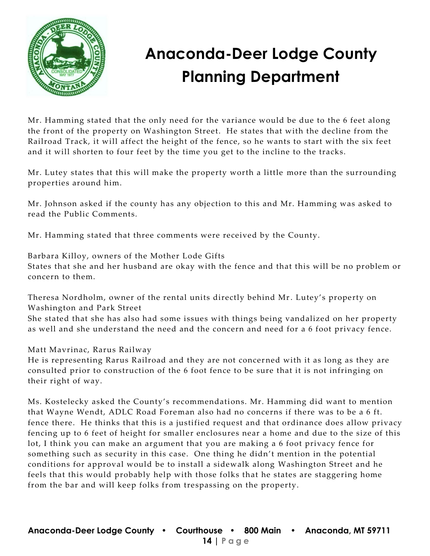

Mr. Hamming stated that the only need for the variance would be due to the 6 feet along the front of the property on Washington Street. He states that with the decline from the Railroad Track, it will affect the height of the fence, so he wants to start with the six feet and it will shorten to four feet by the time you get to the incline to the tracks.

Mr. Lutey states that this will make the property worth a little more than the surrounding properties around him.

Mr. Johnson asked if the county has any objection to this and Mr. Hamming was asked to read the Public Comments.

Mr. Hamming stated that three comments were received by the County.

Barbara Killoy, owners of the Mother Lode Gifts States that she and her husband are okay with the fence and that this will be no problem or concern to them.

Theresa Nordholm, owner of the rental units directly behind Mr. Lutey's property on Washington and Park Street

She stated that she has also had some issues with things being vandalized on her property as well and she understand the need and the concern and need for a 6 foot privacy fence.

Matt Mavrinac, Rarus Railway

He is representing Rarus Railroad and they are not concer ned with it as long as they are consulted prior to construction of the 6 foot fence to be sure that it is not infringing on their right of way.

Ms. Kostelecky asked the County's recommendations. Mr. Hamming did want to mention that Wayne Wendt, ADLC Road Foreman also had no concerns if there was to be a 6 ft. fence there. He thinks that this is a justified request and that ordinance does allow privacy fencing up to 6 feet of height for smaller enclosures near a home and due to the size of this lot, I think you can make an argument that you are making a 6 foot privacy fence for something such as security in this case. One thing he didn't mention in the potential conditions for approval would be to install a sidewalk along Washington Street and he feels that this would probably help with those folks that he states are staggering home from the bar and will keep folks from trespassing on the property.